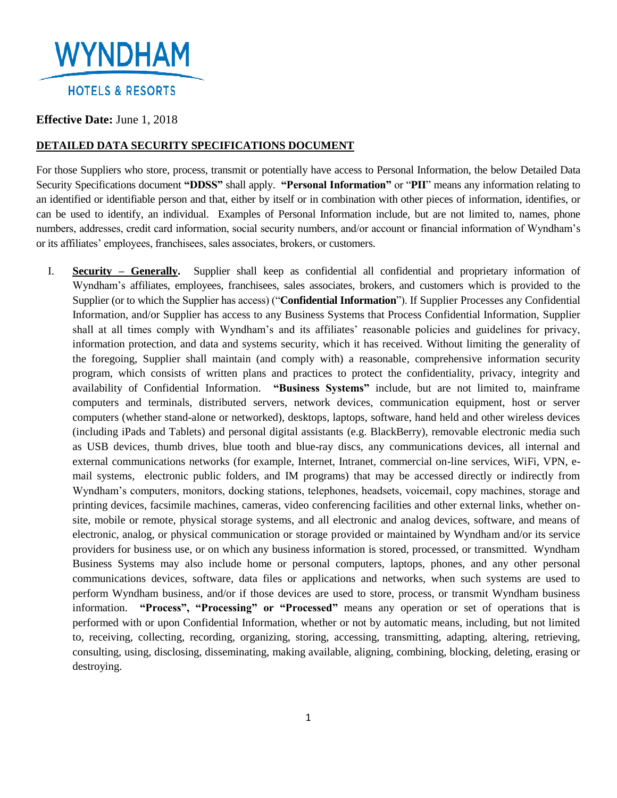

## **Effective Date:** June 1, 2018

## **DETAILED DATA SECURITY SPECIFICATIONS DOCUMENT**

For those Suppliers who store, process, transmit or potentially have access to Personal Information, the below Detailed Data Security Specifications document **"DDSS"** shall apply. **"Personal Information"** or "**PII**" means any information relating to an identified or identifiable person and that, either by itself or in combination with other pieces of information, identifies, or can be used to identify, an individual. Examples of Personal Information include, but are not limited to, names, phone numbers, addresses, credit card information, social security numbers, and/or account or financial information of Wyndham's or its affiliates' employees, franchisees, sales associates, brokers, or customers.

I. **Security – Generally.** Supplier shall keep as confidential all confidential and proprietary information of Wyndham's affiliates, employees, franchisees, sales associates, brokers, and customers which is provided to the Supplier (or to which the Supplier has access) ("**Confidential Information**"). If Supplier Processes any Confidential Information, and/or Supplier has access to any Business Systems that Process Confidential Information, Supplier shall at all times comply with Wyndham's and its affiliates' reasonable policies and guidelines for privacy, information protection, and data and systems security, which it has received. Without limiting the generality of the foregoing, Supplier shall maintain (and comply with) a reasonable, comprehensive information security program, which consists of written plans and practices to protect the confidentiality, privacy, integrity and availability of Confidential Information. **"Business Systems"** include, but are not limited to, mainframe computers and terminals, distributed servers, network devices, communication equipment, host or server computers (whether stand-alone or networked), desktops, laptops, software, hand held and other wireless devices (including iPads and Tablets) and personal digital assistants (e.g. BlackBerry), removable electronic media such as USB devices, thumb drives, blue tooth and blue-ray discs, any communications devices, all internal and external communications networks (for example, Internet, Intranet, commercial on-line services, WiFi, VPN, email systems, electronic public folders, and IM programs) that may be accessed directly or indirectly from Wyndham's computers, monitors, docking stations, telephones, headsets, voicemail, copy machines, storage and printing devices, facsimile machines, cameras, video conferencing facilities and other external links, whether onsite, mobile or remote, physical storage systems, and all electronic and analog devices, software, and means of electronic, analog, or physical communication or storage provided or maintained by Wyndham and/or its service providers for business use, or on which any business information is stored, processed, or transmitted. Wyndham Business Systems may also include home or personal computers, laptops, phones, and any other personal communications devices, software, data files or applications and networks, when such systems are used to perform Wyndham business, and/or if those devices are used to store, process, or transmit Wyndham business information. **"Process", "Processing" or "Processed"** means any operation or set of operations that is performed with or upon Confidential Information, whether or not by automatic means, including, but not limited to, receiving, collecting, recording, organizing, storing, accessing, transmitting, adapting, altering, retrieving, consulting, using, disclosing, disseminating, making available, aligning, combining, blocking, deleting, erasing or destroying.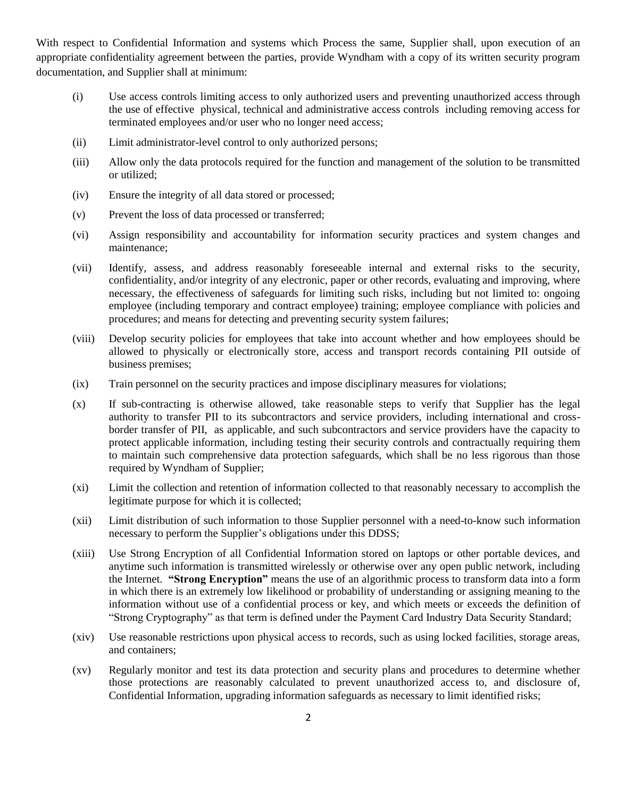With respect to Confidential Information and systems which Process the same, Supplier shall, upon execution of an appropriate confidentiality agreement between the parties, provide Wyndham with a copy of its written security program documentation, and Supplier shall at minimum:

- (i) Use access controls limiting access to only authorized users and preventing unauthorized access through the use of effective physical, technical and administrative access controls including removing access for terminated employees and/or user who no longer need access;
- (ii) Limit administrator-level control to only authorized persons;
- (iii) Allow only the data protocols required for the function and management of the solution to be transmitted or utilized;
- (iv) Ensure the integrity of all data stored or processed;
- (v) Prevent the loss of data processed or transferred;
- (vi) Assign responsibility and accountability for information security practices and system changes and maintenance;
- (vii) Identify, assess, and address reasonably foreseeable internal and external risks to the security, confidentiality, and/or integrity of any electronic, paper or other records, evaluating and improving, where necessary, the effectiveness of safeguards for limiting such risks, including but not limited to: ongoing employee (including temporary and contract employee) training; employee compliance with policies and procedures; and means for detecting and preventing security system failures;
- (viii) Develop security policies for employees that take into account whether and how employees should be allowed to physically or electronically store, access and transport records containing PII outside of business premises;
- (ix) Train personnel on the security practices and impose disciplinary measures for violations;
- (x) If sub-contracting is otherwise allowed, take reasonable steps to verify that Supplier has the legal authority to transfer PII to its subcontractors and service providers, including international and crossborder transfer of PII, as applicable, and such subcontractors and service providers have the capacity to protect applicable information, including testing their security controls and contractually requiring them to maintain such comprehensive data protection safeguards, which shall be no less rigorous than those required by Wyndham of Supplier;
- (xi) Limit the collection and retention of information collected to that reasonably necessary to accomplish the legitimate purpose for which it is collected;
- (xii) Limit distribution of such information to those Supplier personnel with a need-to-know such information necessary to perform the Supplier's obligations under this DDSS;
- (xiii) Use Strong Encryption of all Confidential Information stored on laptops or other portable devices, and anytime such information is transmitted wirelessly or otherwise over any open public network, including the Internet. **"Strong Encryption"** means the use of an algorithmic process to transform data into a form in which there is an extremely low likelihood or probability of understanding or assigning meaning to the information without use of a confidential process or key, and which meets or exceeds the definition of "Strong Cryptography" as that term is defined under the Payment Card Industry Data Security Standard;
- (xiv) Use reasonable restrictions upon physical access to records, such as using locked facilities, storage areas, and containers;
- (xv) Regularly monitor and test its data protection and security plans and procedures to determine whether those protections are reasonably calculated to prevent unauthorized access to, and disclosure of, Confidential Information, upgrading information safeguards as necessary to limit identified risks;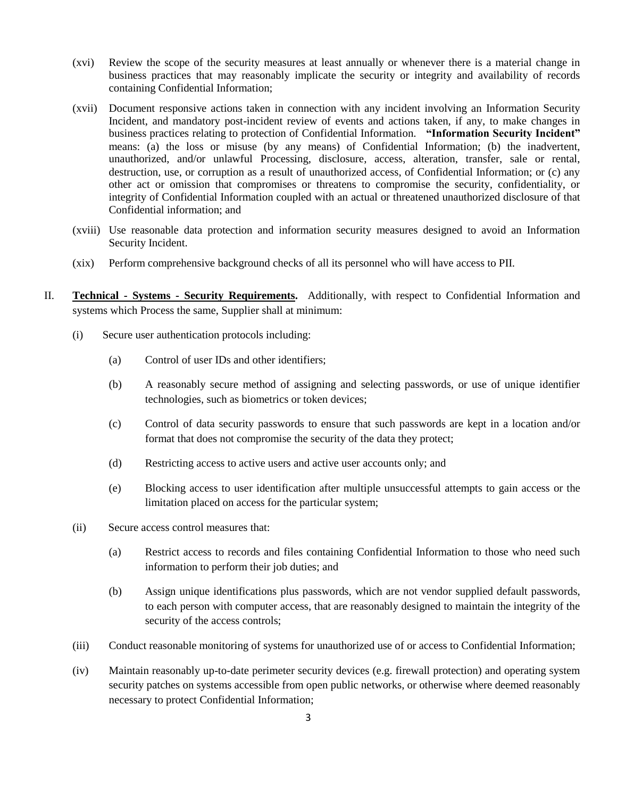- (xvi) Review the scope of the security measures at least annually or whenever there is a material change in business practices that may reasonably implicate the security or integrity and availability of records containing Confidential Information;
- (xvii) Document responsive actions taken in connection with any incident involving an Information Security Incident, and mandatory post-incident review of events and actions taken, if any, to make changes in business practices relating to protection of Confidential Information. **"Information Security Incident"** means: (a) the loss or misuse (by any means) of Confidential Information; (b) the inadvertent, unauthorized, and/or unlawful Processing, disclosure, access, alteration, transfer, sale or rental, destruction, use, or corruption as a result of unauthorized access, of Confidential Information; or (c) any other act or omission that compromises or threatens to compromise the security, confidentiality, or integrity of Confidential Information coupled with an actual or threatened unauthorized disclosure of that Confidential information; and
- (xviii) Use reasonable data protection and information security measures designed to avoid an Information Security Incident.
- (xix) Perform comprehensive background checks of all its personnel who will have access to PII.
- II. **Technical - Systems - Security Requirements.** Additionally, with respect to Confidential Information and systems which Process the same, Supplier shall at minimum:
	- (i) Secure user authentication protocols including:
		- (a) Control of user IDs and other identifiers;
		- (b) A reasonably secure method of assigning and selecting passwords, or use of unique identifier technologies, such as biometrics or token devices;
		- (c) Control of data security passwords to ensure that such passwords are kept in a location and/or format that does not compromise the security of the data they protect;
		- (d) Restricting access to active users and active user accounts only; and
		- (e) Blocking access to user identification after multiple unsuccessful attempts to gain access or the limitation placed on access for the particular system;
	- (ii) Secure access control measures that:
		- (a) Restrict access to records and files containing Confidential Information to those who need such information to perform their job duties; and
		- (b) Assign unique identifications plus passwords, which are not vendor supplied default passwords, to each person with computer access, that are reasonably designed to maintain the integrity of the security of the access controls;
	- (iii) Conduct reasonable monitoring of systems for unauthorized use of or access to Confidential Information;
	- (iv) Maintain reasonably up-to-date perimeter security devices (e.g. firewall protection) and operating system security patches on systems accessible from open public networks, or otherwise where deemed reasonably necessary to protect Confidential Information;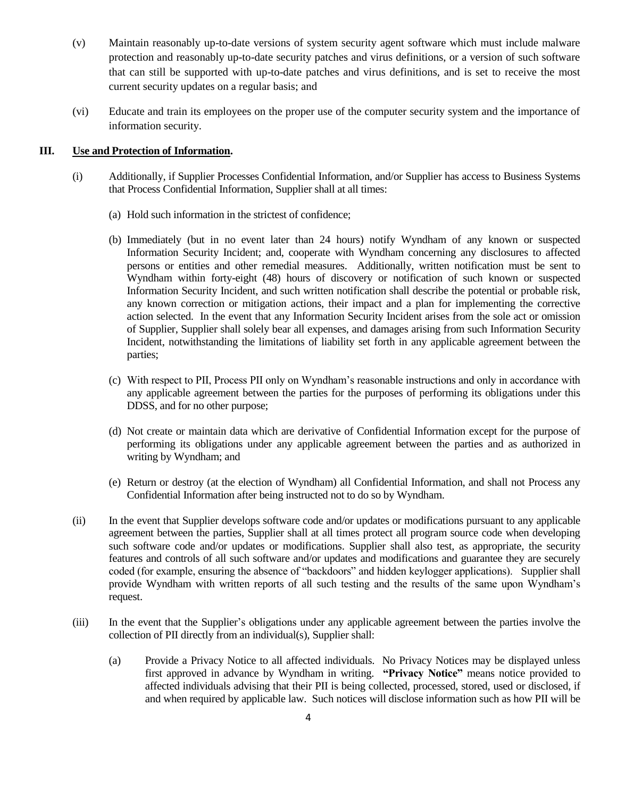- (v) Maintain reasonably up-to-date versions of system security agent software which must include malware protection and reasonably up-to-date security patches and virus definitions, or a version of such software that can still be supported with up-to-date patches and virus definitions, and is set to receive the most current security updates on a regular basis; and
- (vi) Educate and train its employees on the proper use of the computer security system and the importance of information security.

### **III. Use and Protection of Information.**

- (i) Additionally, if Supplier Processes Confidential Information, and/or Supplier has access to Business Systems that Process Confidential Information, Supplier shall at all times:
	- (a) Hold such information in the strictest of confidence;
	- (b) Immediately (but in no event later than 24 hours) notify Wyndham of any known or suspected Information Security Incident; and, cooperate with Wyndham concerning any disclosures to affected persons or entities and other remedial measures. Additionally, written notification must be sent to Wyndham within forty-eight (48) hours of discovery or notification of such known or suspected Information Security Incident, and such written notification shall describe the potential or probable risk, any known correction or mitigation actions, their impact and a plan for implementing the corrective action selected. In the event that any Information Security Incident arises from the sole act or omission of Supplier, Supplier shall solely bear all expenses, and damages arising from such Information Security Incident, notwithstanding the limitations of liability set forth in any applicable agreement between the parties;
	- (c) With respect to PII, Process PII only on Wyndham's reasonable instructions and only in accordance with any applicable agreement between the parties for the purposes of performing its obligations under this DDSS, and for no other purpose;
	- (d) Not create or maintain data which are derivative of Confidential Information except for the purpose of performing its obligations under any applicable agreement between the parties and as authorized in writing by Wyndham; and
	- (e) Return or destroy (at the election of Wyndham) all Confidential Information, and shall not Process any Confidential Information after being instructed not to do so by Wyndham.
- (ii) In the event that Supplier develops software code and/or updates or modifications pursuant to any applicable agreement between the parties, Supplier shall at all times protect all program source code when developing such software code and/or updates or modifications. Supplier shall also test, as appropriate, the security features and controls of all such software and/or updates and modifications and guarantee they are securely coded (for example, ensuring the absence of "backdoors" and hidden keylogger applications). Supplier shall provide Wyndham with written reports of all such testing and the results of the same upon Wyndham's request.
- (iii) In the event that the Supplier's obligations under any applicable agreement between the parties involve the collection of PII directly from an individual(s), Supplier shall:
	- (a) Provide a Privacy Notice to all affected individuals. No Privacy Notices may be displayed unless first approved in advance by Wyndham in writing. **"Privacy Notice"** means notice provided to affected individuals advising that their PII is being collected, processed, stored, used or disclosed, if and when required by applicable law. Such notices will disclose information such as how PII will be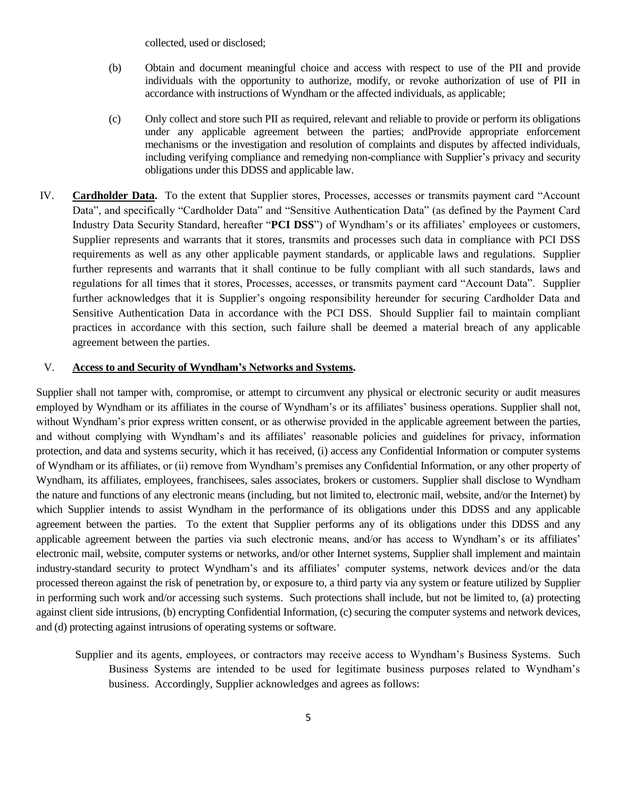collected, used or disclosed;

- (b) Obtain and document meaningful choice and access with respect to use of the PII and provide individuals with the opportunity to authorize, modify, or revoke authorization of use of PII in accordance with instructions of Wyndham or the affected individuals, as applicable;
- (c) Only collect and store such PII as required, relevant and reliable to provide or perform its obligations under any applicable agreement between the parties; andProvide appropriate enforcement mechanisms or the investigation and resolution of complaints and disputes by affected individuals, including verifying compliance and remedying non-compliance with Supplier's privacy and security obligations under this DDSS and applicable law.
- IV. **Cardholder Data.** To the extent that Supplier stores, Processes, accesses or transmits payment card "Account Data", and specifically "Cardholder Data" and "Sensitive Authentication Data" (as defined by the Payment Card Industry Data Security Standard, hereafter "**PCI DSS**") of Wyndham's or its affiliates' employees or customers, Supplier represents and warrants that it stores, transmits and processes such data in compliance with PCI DSS requirements as well as any other applicable payment standards, or applicable laws and regulations. Supplier further represents and warrants that it shall continue to be fully compliant with all such standards, laws and regulations for all times that it stores, Processes, accesses, or transmits payment card "Account Data". Supplier further acknowledges that it is Supplier's ongoing responsibility hereunder for securing Cardholder Data and Sensitive Authentication Data in accordance with the PCI DSS. Should Supplier fail to maintain compliant practices in accordance with this section, such failure shall be deemed a material breach of any applicable agreement between the parties.

#### V. **Access to and Security of Wyndham's Networks and Systems.**

Supplier shall not tamper with, compromise, or attempt to circumvent any physical or electronic security or audit measures employed by Wyndham or its affiliates in the course of Wyndham's or its affiliates' business operations. Supplier shall not, without Wyndham's prior express written consent, or as otherwise provided in the applicable agreement between the parties, and without complying with Wyndham's and its affiliates' reasonable policies and guidelines for privacy, information protection, and data and systems security, which it has received, (i) access any Confidential Information or computer systems of Wyndham or its affiliates, or (ii) remove from Wyndham's premises any Confidential Information, or any other property of Wyndham, its affiliates, employees, franchisees, sales associates, brokers or customers. Supplier shall disclose to Wyndham the nature and functions of any electronic means (including, but not limited to, electronic mail, website, and/or the Internet) by which Supplier intends to assist Wyndham in the performance of its obligations under this DDSS and any applicable agreement between the parties. To the extent that Supplier performs any of its obligations under this DDSS and any applicable agreement between the parties via such electronic means, and/or has access to Wyndham's or its affiliates' electronic mail, website, computer systems or networks, and/or other Internet systems, Supplier shall implement and maintain industry-standard security to protect Wyndham's and its affiliates' computer systems, network devices and/or the data processed thereon against the risk of penetration by, or exposure to, a third party via any system or feature utilized by Supplier in performing such work and/or accessing such systems. Such protections shall include, but not be limited to, (a) protecting against client side intrusions, (b) encrypting Confidential Information, (c) securing the computer systems and network devices, and (d) protecting against intrusions of operating systems or software.

Supplier and its agents, employees, or contractors may receive access to Wyndham's Business Systems. Such Business Systems are intended to be used for legitimate business purposes related to Wyndham's business. Accordingly, Supplier acknowledges and agrees as follows: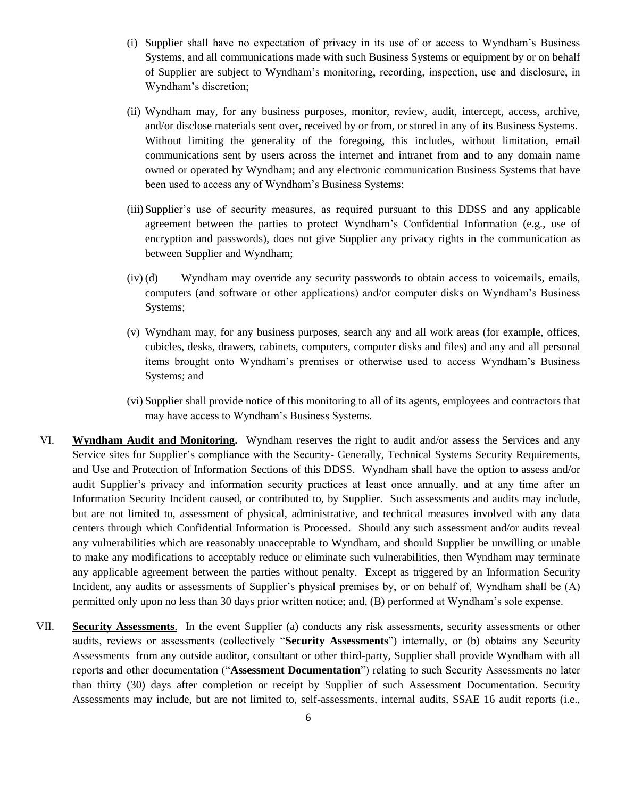- (i) Supplier shall have no expectation of privacy in its use of or access to Wyndham's Business Systems, and all communications made with such Business Systems or equipment by or on behalf of Supplier are subject to Wyndham's monitoring, recording, inspection, use and disclosure, in Wyndham's discretion;
- (ii) Wyndham may, for any business purposes, monitor, review, audit, intercept, access, archive, and/or disclose materials sent over, received by or from, or stored in any of its Business Systems. Without limiting the generality of the foregoing, this includes, without limitation, email communications sent by users across the internet and intranet from and to any domain name owned or operated by Wyndham; and any electronic communication Business Systems that have been used to access any of Wyndham's Business Systems;
- (iii)Supplier's use of security measures, as required pursuant to this DDSS and any applicable agreement between the parties to protect Wyndham's Confidential Information (e.g., use of encryption and passwords), does not give Supplier any privacy rights in the communication as between Supplier and Wyndham;
- (iv) (d) Wyndham may override any security passwords to obtain access to voicemails, emails, computers (and software or other applications) and/or computer disks on Wyndham's Business Systems;
- (v) Wyndham may, for any business purposes, search any and all work areas (for example, offices, cubicles, desks, drawers, cabinets, computers, computer disks and files) and any and all personal items brought onto Wyndham's premises or otherwise used to access Wyndham's Business Systems; and
- (vi) Supplier shall provide notice of this monitoring to all of its agents, employees and contractors that may have access to Wyndham's Business Systems.
- VI. **Wyndham Audit and Monitoring.** Wyndham reserves the right to audit and/or assess the Services and any Service sites for Supplier's compliance with the Security- Generally, Technical Systems Security Requirements, and Use and Protection of Information Sections of this DDSS. Wyndham shall have the option to assess and/or audit Supplier's privacy and information security practices at least once annually, and at any time after an Information Security Incident caused, or contributed to, by Supplier. Such assessments and audits may include, but are not limited to, assessment of physical, administrative, and technical measures involved with any data centers through which Confidential Information is Processed. Should any such assessment and/or audits reveal any vulnerabilities which are reasonably unacceptable to Wyndham, and should Supplier be unwilling or unable to make any modifications to acceptably reduce or eliminate such vulnerabilities, then Wyndham may terminate any applicable agreement between the parties without penalty. Except as triggered by an Information Security Incident, any audits or assessments of Supplier's physical premises by, or on behalf of, Wyndham shall be (A) permitted only upon no less than 30 days prior written notice; and, (B) performed at Wyndham's sole expense.
- VII. **Security Assessments**. In the event Supplier (a) conducts any risk assessments, security assessments or other audits, reviews or assessments (collectively "**Security Assessments**") internally, or (b) obtains any Security Assessments from any outside auditor, consultant or other third-party, Supplier shall provide Wyndham with all reports and other documentation ("**Assessment Documentation**") relating to such Security Assessments no later than thirty (30) days after completion or receipt by Supplier of such Assessment Documentation. Security Assessments may include, but are not limited to, self-assessments, internal audits, SSAE 16 audit reports (i.e.,